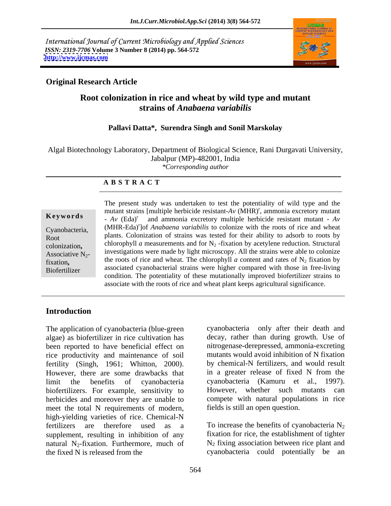International Journal of Current Microbiology and Applied Sciences *ISSN: 2319-7706* **Volume 3 Number 8 (2014) pp. 564-572 <http://www.ijcmas.com>**



## **Original Research Article**

## **Root colonization in rice and wheat by wild type and mutant strains of** *Anabaena variabilis*

### **Pallavi Datta\*, Surendra Singh and Sonil Marskolay**

Algal Biotechnology Laboratory, Department of Biological Science, Rani Durgavati University,<br>Jabalpur (MP)-482001, India<br>*Corresponding author \*Corresponding author*

**A B S T R A C T**

colonization**,** fixation**,** 

**Keywords**  $A_V$  (Eda)<sup>r</sup> and ammonia excretory multiple herbicide resistant mutant -  $A_V$ Cyanobacteria, (MHR-Eda)<sup>r</sup> of *Anabaena variabilis* to colonize with the roots of rice and wheat Point Colonization of strains was tested for their ability to adsorb to roots by<br>Root Associative  $N_{2}$  investigations were made by light microscopy. All the strains were able to colonize Biofertilizer associated cyanobacterial strains were higher compared with those in free-living The present study was undertaken to test the potentiality of wild type and the mutant strains [multiple herbicide resistant- $Av$  (MHR)<sup>r</sup>, ammonia excretory mutant chlorophyll *a* measurements and for  $N_2$ -fixation by acetylene reduction. Structural the roots of rice and wheat. The chlorophyll *a* content and rates of  $N_2$  fixation by condition. The potentiality of these mutationally improved biofertilizer strains to associate with the roots of rice and wheat plant keeps agricultural significance.

### **Introduction**

The application of cyanobacteria (blue-green algae) as biofertilizer in rice cultivation has decay, rather than during growth. Use of been reported to have beneficial effect on rice productivity and maintenance of soil fertility (Singh, 1961; Whitton, 2000). However, there are some drawbacks that in a greater release of fixed N from the limit the benefits of cyanobacteria cyanobacteria (Kamuru et al., 1997). biofertilizers. For example, sensitivity to herbicides and moreover they are unable to meet the total N requirements of modern, high-yielding varieties of rice. Chemical-N fertilizers are therefore used as a To increase the benefits of cyanobacteria  $N_2$ supplement, resulting in inhibition of any natural  $N_2$ -fixation. Furthermore, much of the fixed N is released from the the fixed N is released from the cyanobacteria could potentially be an

cyanobacteria only after their death and nitrogenase-derepressed, ammonia-excreting mutants would avoid inhibition of N fixation by chemical-N fertilizers, and would result However, whether such mutants can compete with natural populations in rice fields is still an open question.

To increase the benefits of cyanobacteria  $N_2$ fixation for rice, the establishment of tighter  $N_2$  fixing association between rice plant and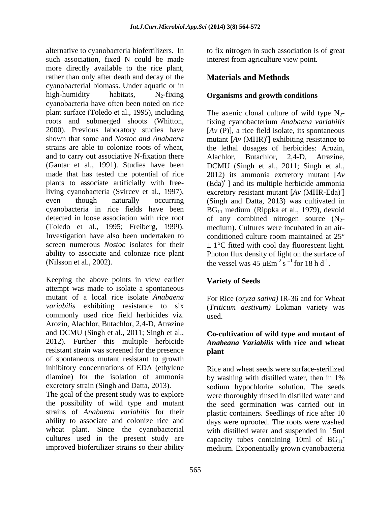alternative to cyanobacteria biofertilizers. In to fix nitrogen in such association is of great such association, fixed N could be made more directly available to the rice plant, rather than only after death and decay of the cyanobacterial biomass. Under aquatic or in high-humidity habitats, N2-fixing **Organisms and growth conditions** cyanobacteria have often been noted on rice plant surface (Toledo et al., 1995), including The axenic clonal culture of wild type N<sub>2</sub>roots and submerged shoots (Whitton, fixing cyanobacterium *Anabaena variabilis* 2000). Previous laboratory studies have [*Av* (P)], a rice field isolate, its spontaneous shown that some and *Nostoc and Anabaena* mutant  $[Av (MHR)^r]$  exhibiting resistance to strains are able to colonize roots of wheat, the lethal dosages of herbicides: Arozin, and to carry out associative N-fixation there Alachlor, Butachlor, 2,4-D, Atrazine, (Gantar et al., 1991). Studies have been DCMU (Singh et al., 2011; Singh et al., made that has tested the potential of rice 2012) its ammonia excretory mutant [*Av*  plants to associate artificially with free- (Eda)<sup>r</sup> and its multiple herbicide ammonia living cyanobacteria (Svircev et al., 1997), excretory resistant mutant [*Av* (MHR-Eda) even though naturally occurring (Singh and Datta, 2013) was cultivated in cyanobacteria in rice fields have been  $BG_{11}$  medium (Rippka et al., 1979), devoid detected in loose association with rice root of any combined nitrogen source  $(N_2$ -(Toledo et al., 1995; Freiberg, 1999). medium). Cultures were incubated in an air- Investigation have also been undertaken to conditioned culture room maintained at 25<sup>°</sup> screen numerous *Nostoc* isolates for their  $\pm 1$ °C fitted with cool day fluorescent light. ability to associate and colonize rice plant Photon flux density of light on the surface of

Keeping the above points in view earlier attempt was made to isolate a spontaneous mutant of a local rice isolate *Anabaena variabilis* exhibiting resistance to six (*Triticum aestivum)* Lokman variety was commonly used rice field herbicides viz. Arozin, Alachlor, Butachlor, 2,4-D, Atrazine and DCMU (Singh et al., 2011; Singh et al., 2012). Further this multiple herbicide resistant strain was screened for the presence **plant** of spontaneous mutant resistant to growth inhibitory concentrations of EDA (ethylene Rice and wheat seeds were surface-sterilized diamine) for the isolation of ammonia by washing with distilled water, then in 1%

interest from agriculture view point.

# **Materials and Methods**

(Nilsson et al., 2002). the vessel was  $45 \mu \text{Em}^{-2} \text{s}^{-1}$  for  $18 \text{ h d}^{-1}$ . ] exhibiting resistance to Alachlor, Butachlor,  $r_1$ ] conditioned culture room maintained at 25°  $1$  for 18 h d<sup>-1</sup>.

# **Variety of Seeds**

For Rice (*oryza sativa)* IR-36 and for Wheat used. The contract of the contract of the contract of the contract of the contract of the contract of the contract of the contract of the contract of the contract of the contract of the contract of the contract of the cont

## **Co-cultivation of wild type and mutant of** *Anabeana Variabilis* **with rice and wheat plant**

excretory strain (Singh and Datta, 2013). sodium hypochlorite solution. The seeds The goal of the present study was to explore were thoroughly rinsed in distilled water and the possibility of wild type and mutant the seed germination was carried out in strains of *Anabaena variabilis* for their plastic containers. Seedlings of rice after 10 ability to associate and colonize rice and days were uprooted. The roots were washed wheat plant. Since the cyanobacterial with distilled water and suspended in 15ml cultures used in the present study are capacity tubes containing  $10ml$  of  $BG_{11}^$ improved biofertilizer strains so their ability medium. Exponentially grown cyanobacteria by washing with distilled water, then in 1% **-** Construction of the construction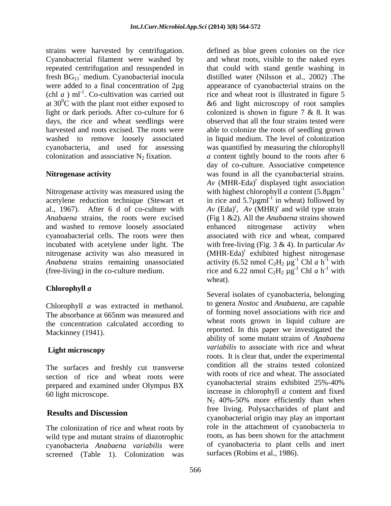strains were harvested by centrifugation. (chl  $a$ ) ml<sup>-1</sup>. Co-cultivation was carried out at  $30^{\circ}$ C with the plant root either exposed to days, the rice and wheat seedlings were

### **Nitrogenase activity**

and washed to remove loosely associated nitrogenase activity was also measured in

Chlorophyll *a* was extracted in methanol. The absorbance at 665nm was measured and the concentration calculated according to

The surfaces and freshly cut transverse section of rice and wheat roots were prepared and examined under Olympus BX

The colonization of rice and wheat roots by wild type and mutant strains of diazotrophic cyanobacteria *Anabaena variabilis* were screened (Table 1). Colonization was

Cyanobacterial filament were washed by and wheat roots, visible to the naked eyes repeated centrifugation and resuspended in that could with stand gentle washing in fresh BG<sub>11</sub> medium. Cyanobacterial inocula distilled water (Nilsson et al., 2002) The were added to a final concentration of 2µg appearance of cyanobacterial strains on the . Co-cultivation was carried out rice and wheat root is illustrated in figure 5 at  $30^{\circ}$ C with the plant root either exposed to  $\&6$  and light microscopy of root samples light or dark periods. After co-culture for 6 colonized is shown in figure 7 & 8. It was harvested and roots excised. The roots were able to colonize the roots of seedling grown washed to remove loosely associated in liquid medium. The level of colonization cyanobacteria, and used for assessing was quantified by measuring the chlorophyll colonization and associative  $N_2$  fixation.  $\alpha$  content tightly bound to the roots after 6 Nitrogenase activity was measured using the with highest chlorophyll *a* content (5.8 $\mu$ gm<sup>-1</sup>) acetylene reduction technique (Stewart et in rice and  $5.7\mu$ gml<sup>-1</sup> in wheat) followed by al., 1967). After 6 d of co-culture with  $A_v$  (Eda)<sup>r</sup>,  $A_v$  (MHR)<sup>r</sup> and wild type strain *Anabaena* strains, the roots were excised (Fig 1 &2). All the *Anabaena* strains showed cyanoabacterial cells. The roots were then associated with rice and wheat, compared incubated with acetylene under light. The with free-living (Fig. 3 & 4). In particular *Av Anabaena* strains remaining unassociated activity (6.52 nmol  $C_2H_2 \mu g^{-1}$  Chl *a* h<sup>-1</sup> with (free-living) in the co-culture medium. The rice and 6.22 nmol  $C_2H_2 \mu g^{-1}$  Chl a h<sup>-1</sup> with defined as blue green colonies on the rice observed that all the four strains tested were day of co-culture. Associative competence was found in all the cyanobacterial strains. *Av* (MHR-Eda) <sup>r</sup> displayed tight association in wheat) followed by enhanced nitrogenase activity when (MHR-Eda)<sup>r</sup> exhibited highest nitrogenase activity (6.52 nmol  $C_2H_2 \mu g^{-1}$  Chl *a* h<sup>-1</sup> with <sup>-1</sup> Chl  $a h$ <sup>-1</sup> with  $-1$  with with **the set of the set of the set of the set of the set of the set of the set of the set of the set of the set of the set of the set of the set of the set of the set of the set of the set of the set of the set of the set** rice and 6.22 nmol  $C_2H_2 \mu g^{-1}$  Chl a h<sup>-1</sup> with <sup>-1</sup> Chl  $a h^{-1}$  with  $-1$  with with **the set of the set of the set of the set of the set of the set of the set of the set of the set of the set of the set of the set of the set of the set of the set of the set of the set of the set of the set of the set** wheat).

**Chlorophyll** *a* Mackinney (1941). reported. In this paper we investigated the **Light microscopy** and the same of the *variabilis* to associate with fice and wheat  $\frac{1}{60}$  light microscope. **Results and Discussion Results and Discussion Results and Discussion** Several isolates of cyanobacteria, belonging to genera *Nostoc* and *Anabaena,* are capable of forming novel associations with rice and wheat roots grown in liquid culture are ability of some mutant strains of *Anabaena variabilis* to associate with rice and wheat roots. It is clear that, under the experimental condition all the strains tested colonized with roots of rice and wheat. The associated cyanobacterial strains exhibited 25%-40%  $N_2$  40%-50% more efficiently than when free living. Polysaccharides of plant and cyanobacterial origin may play an important role in the attachment of cyanobacteria to roots, as has been shown for the attachment of cyanobacteria to plant cells and inert surfaces (Robins et al., 1986).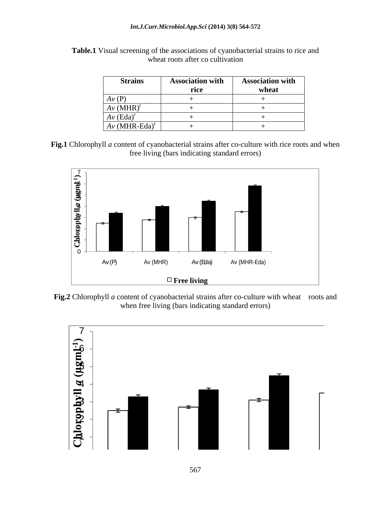| <b>Strains</b>              | <b>Association with</b> | <b>Association with</b> |
|-----------------------------|-------------------------|-------------------------|
|                             | ᇿᇿ                      | wheat                   |
| Av(P)                       |                         |                         |
| $Av$ (MHR) <sup>r</sup>     |                         |                         |
| $Av (Eda)^r$                |                         |                         |
| $Av$ (MHR-Eda) <sup>r</sup> |                         |                         |

**Table.1** Visual screening of the associations of cyanobacterial strains to rice and wheat roots after co cultivation

**Fig.1** Chlorophyll *a* content of cyanobacterial strains after co-culture with rice roots and when free living (bars indicating standard errors)



**Fig.2** Chlorophyll *a* content of cyanobacterial strains after co-culture with wheat roots and when free living (bars indicating standard errors)

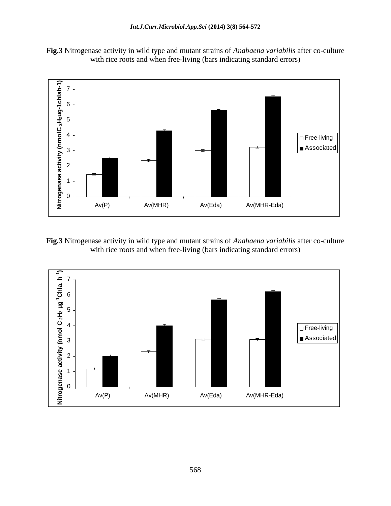**Fig.3** Nitrogenase activity in wild type and mutant strains of *Anabaena variabilis* after co-culture with rice roots and when free-living (bars indicating standard errors)



**Fig.3** Nitrogenase activity in wild type and mutant strains of *Anabaena variabilis* after co-culture with rice roots and when free-living (bars indicating standard errors)

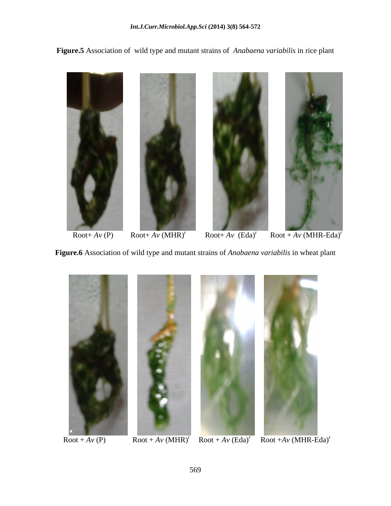**Figure.5** Association of wild type and mutant strains of *Anabaena variabilis* in rice plant



 $\overline{\text{Root}+ A\text{V}(\text{P})}$  Root+ $\overline{A\text{V}(\text{MHR})}^r$  Root+ $\overline{A\text{V}(\text{Eda})}^r$  Root +  $\overline{A\text{V}(\text{MHR}-\text{Eda})}^r$ 

**Figure.6** Association of wild type and mutant strains of *Anabaena variabilis* in wheat plant



 $\overline{\text{Root} + A \nu (P)}$   $\overline{\text{Root} + A \nu (MHR)^{r}}$   $\overline{\text{Root} + A \nu (Eda)^{r}}$   $\overline{\text{Root} + A \nu (MHR - Eda)^{r}}$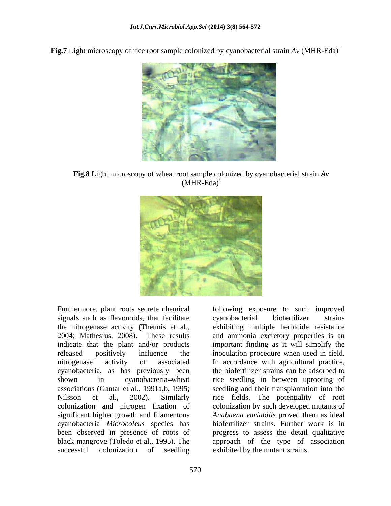**Fig.7** Light microscopy of rice root sample colonized by cyanobacterial strain  $Av$  (MHR-Eda)<sup>r</sup>



**Fig.8** Light microscopy of wheat root sample colonized by cyanobacterial strain *Av* (MHR-Eda)<sup>r</sup>



Furthermore, plant roots secrete chemical following exposure to such improved signals such as flavonoids, that facilitate cyanobacterial biofertilizer strains the nitrogenase activity (Theunis et al., 2004; Mathesius, 2008). These results and ammonia excretory properties is an indicate that the plant and/or products important finding as it will simplify the released positively influence the inoculation procedure when used in field. nitrogenase activity of associated In accordance with agricultural practice, cyanobacteria, as has previously been shown in cyanobacteria wheat rice seedling in between uprooting of associations (Gantar et al., 1991a,b, 1995; seedling and their transplantation into the Nilsson et al., 2002). Similarly rice fields. The potentiality of root colonization and nitrogen fixation of colonization by such developed mutants of significant higher growth and filamentous Anabaena variabilis proved them as ideal cyanobacteria *Microcoleus* species has biofertilizer strains. Further work is in been observed in presence of roots of progress to assess the detail qualitative black mangrove (Toledo et al., 1995). The approach of the type of association

successful colonization of seedling exhibited by the mutant strains. cyanobacterial biofertilizer strains exhibiting multiple herbicide resistance In accordance with agricultural practice, the biofertilizer strains can be adsorbed to *Anabaena variabilis* proved them as ideal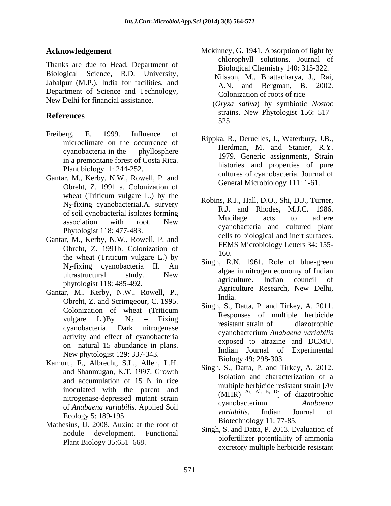Thanks are due to Head, Department of Biological Science, R.D. University, Jabalpur (M.P.), India for facilities, and  $\overrightarrow{AN}$ Department of Science and Technology, New Delhi for financial assistance.

- Freiberg, E. 1999. Influence of pingles P. Demalles J. Weterbury I.D. microclimate on the occurrence of in a premontane forest of Costa Rica. Plant biology 1: 244-252.
- Gantar, M., Kerby, N.W., Rowell, P. and Obreht, Z. 1991 a. Colonization of wheat (Triticum vulgare L.) by the  $R_{\text{min}} R_{\text{min}} R_{\text{min}} R_{\text{min}} R_{\text{min}} R_{\text{min}}$ Phytologist 118: 477-483.
- Gantar, M., Kerby, N.W., Rowell, P. and Obreht, Z. 1991b. Colonization of TEM the wheat (Triticum vulgare L.) by  $\frac{100}{x}$  and  $\frac{100}{x}$  and  $\frac{100}{x}$  and  $\frac{100}{x}$  and  $\frac{100}{x}$ N2-fixing cyanobacteria II. An
- Gantar, M., Kerby, N.W., Rowell, P., Butler and the Contract of the Contract of the Contract of the Contract of the Contract of the Contract of the Contract of the Contract of the Contract of the Contract of the Contract o Obreht, Z. and Scrimgeour, C. 1995.<br>Colonization of wheat (Triticum Singh, S., Datta, P. and Tirkey, A. 2011. activity and effect of cyanobacteria on natural 15 abundance in plans. New phytologist 129: 337-343.
- Kamuru, F., Albrecht, S.L., Allen, L.H. and Shanmugan, K.T. 1997. Growth Ecology 5: 189-195.
- Mathesius, U. 2008. Auxin: at the root of nodule development. Functional
- **Acknowledgement** Mckinney, G. 1941. Absorption of light by chlorophyll solutions. Journal of Biological Chemistry 140: 315-322. Nilsson, M., Bhattacharya, J., Rai, and Bergman, B. 2002. Colonization of roots of rice (*Oryza sativa*) by symbiotic *Nostoc*
- References sualistic strains of the energy of the substitution of the substitution of the substitution of the substitution of the set of the set of the set of the set of the set of the set of the set of the set of the set strains. New Phytologist 156: 517 525
	- cyanobacteria in the phyllosphere  $\frac{1070}{1070}$  Censile assistant statute  $\frac{1070}{1070}$ Rippka, R., Deruelles, J., Waterbury, J.B., Herdman, M. and Stanier, R.Y. 1979. Generic assignments, Strain histories and properties of pure cultures of cyanobacteria. Journal of General Microbiology 111: 1-61.
	- Wheat (Thirdin vargate E.) by the Robins, R.J., Hall, D.O., Shi, D.J., Turner,  $N_2$ -fixing cyanobacterial.A. survery  $R_J$ . and Rhodes, M.J.C. 1986. of soil cynobacterial isolates forming<br>
	mucillage acts to adhere<br>
	Mucillage acts to adhere association with root. New muchase acts to attitude Robins, R.J., Hall, D.O., Shi, D.J., Turner, R.J. and Rhodes, M.J.C. 1986. Mucilage acts to adhere cyanobacteria and cultured plant cells to biological and inert surfaces. FEMS Microbiology Letters 34: 155- 160.
	- ultrastructural study. New argae in malogen economy of median muastructural study. New agriculture. Indian council of<br>phytologist 118: 485-492. Agriculture Research, New Delhi, Singh, R.N. 1961. Role of blue-green algae in nitrogen economy of Indian agriculture. Indian council of Agriculture Research, New Delhi, India.
- vulgare  $L$ .)By  $N_2$  Fixing reciprocation of dispersontial cyanobacteria. Dark nitrogenase experiences is the diazonophic **one degrees)**<br> **so are due to Head, Department of** chieroshypt solutions, Journal of<br>
so are due to Head, Department of Biologyai Chemissing 140, 315.32,<br>
and Birguna, B. 2002,<br>
ment of Science and Technology,<br>  $\langle D_{CMB} \$ Singh, S., Datta, P. and Tirkey, A. 2011. Responses of multiple herbicide resistant strain of diazotrophic cyanobacterium *Anabaena variabilis* exposed to atrazine and DCMU. Indian Journal of Experimental Biology 49: 298-303.
	- and accumulation of 15 N in rice  $\frac{150 \text{ rad}}{250 \text{ rad/s}}$  be big is assistant strain  $\frac{1}{4}$ . inoculated with the parent and  $(MHR)^{AT, AI, B, D}$  of diazotrophic nitrogenase-depressed mutant strain cyanobacterium *Anabaena* of *Anabaena variabilis.* Applied Soil Singh, S., Datta, P. and Tirkey, A. 2012. Isolation and characterization of a multiple herbicide resistant strain [*Av*  $(MHR)$  Ar, Al, B, D<sub>]</sub> of diazotrophic ] of diazotrophic cyanobacterium *Anabaena variabilis*. Indian Journal of Biotechnology 11: 77-85.
		- Singh, S. and Datta, P. 2013. Evaluation of biofertilizer potentiality of ammonia excretory multiple herbicide resistant